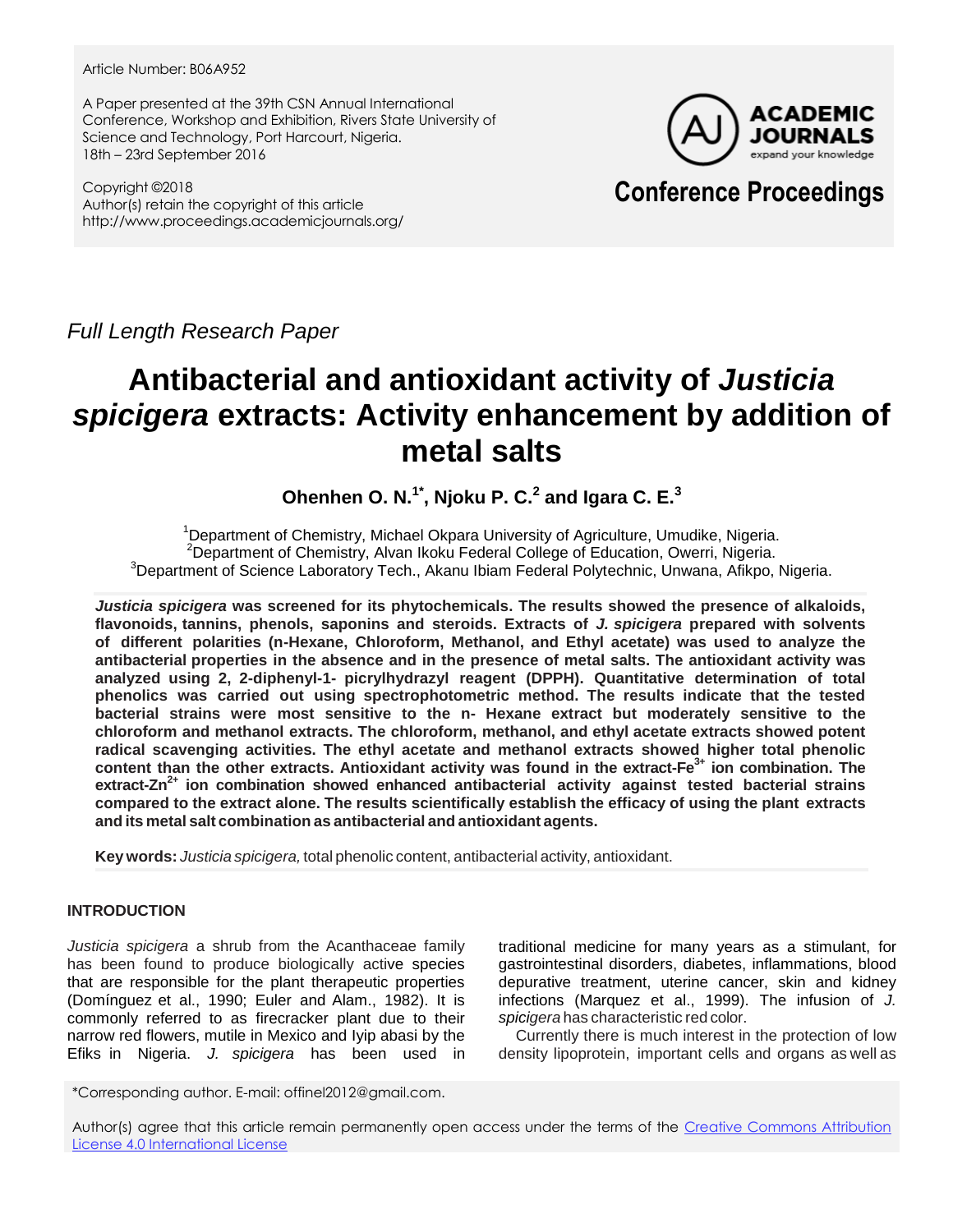Article Number: B06A952

A Paper presented at the 39th CSN Annual International Conference, Workshop and Exhibition, Rivers State University of Science and Technology, Port Harcourt, Nigeria. 18th – 23rd September 2016

Copyright ©2018 Author(s) retain the copyright of this article http://www.proceedings.academicjournals.org/



## **Conference Proceedings**

*Full Length Research Paper*

# **Antibacterial and antioxidant activity of** *Justicia spicigera* **extracts: Activity enhancement by addition of metal salts**

**Ohenhen O. N.1\*, Njoku P. C.<sup>2</sup> and Igara C. E.<sup>3</sup>**

<sup>1</sup>Department of Chemistry, Michael Okpara University of Agriculture, Umudike, Nigeria. <sup>2</sup>Department of Chemistry, Alvan Ikoku Federal College of Education, Owerri, Nigeria. <sup>3</sup>Department of Science Laboratory Tech., Akanu Ibiam Federal Polytechnic, Unwana, Afikpo, Nigeria.

*Justicia spicigera* **was screened for its phytochemicals. The results showed the presence of alkaloids, flavonoids, tannins, phenols, saponins and steroids. Extracts of** *J. spicigera* **prepared with solvents of different polarities (n-Hexane, Chloroform, Methanol, and Ethyl acetate) was used to analyze the antibacterial properties in the absence and in the presence of metal salts. The antioxidant activity was analyzed using 2, 2-diphenyl-1- picrylhydrazyl reagent (DPPH). Quantitative determination of total phenolics was carried out using spectrophotometric method. The results indicate that the tested bacterial strains were most sensitive to the n- Hexane extract but moderately sensitive to the chloroform and methanol extracts. The chloroform, methanol, and ethyl acetate extracts showed potent radical scavenging activities. The ethyl acetate and methanol extracts showed higher total phenolic content than the other extracts. Antioxidant activity was found in the extract-Fe3+ ion combination. The extract-Zn2+ ion combination showed enhanced antibacterial activity against tested bacterial strains compared to the extract alone. The results scientifically establish the efficacy of using the plant extracts and its metal salt combination as antibacterial and antioxidant agents.**

**Key words:** *Justicia spicigera,* total phenolic content, antibacterial activity, antioxidant.

## **INTRODUCTION**

*Justicia spicigera* a shrub from the Acanthaceae family has been found to produce biologically active species that are responsible for the plant therapeutic properties (Domínguez et al., 1990; Euler and Alam., 1982). It is commonly referred to as firecracker plant due to their narrow red flowers, mutile in Mexico and Iyip abasi by the Efiks in Nigeria. *J. spicigera* has been used in traditional medicine for many years as a stimulant, for gastrointestinal disorders, diabetes, inflammations, blood depurative treatment, uterine cancer, skin and kidney infections (Marquez et al., 1999). The infusion of *J. spicigera* has characteristic red color.

 Currently there is much interest in the protection of low density lipoprotein, important cells and organs as well as

\*Corresponding author. E-mail: offinel2012@gmail.com.

Author(s) agree that this article remain permanently open access under the terms of the Creative Commons Attribution [License 4.0 International License](http://creativecommons.org/licenses/by/4.0/deed.en_US)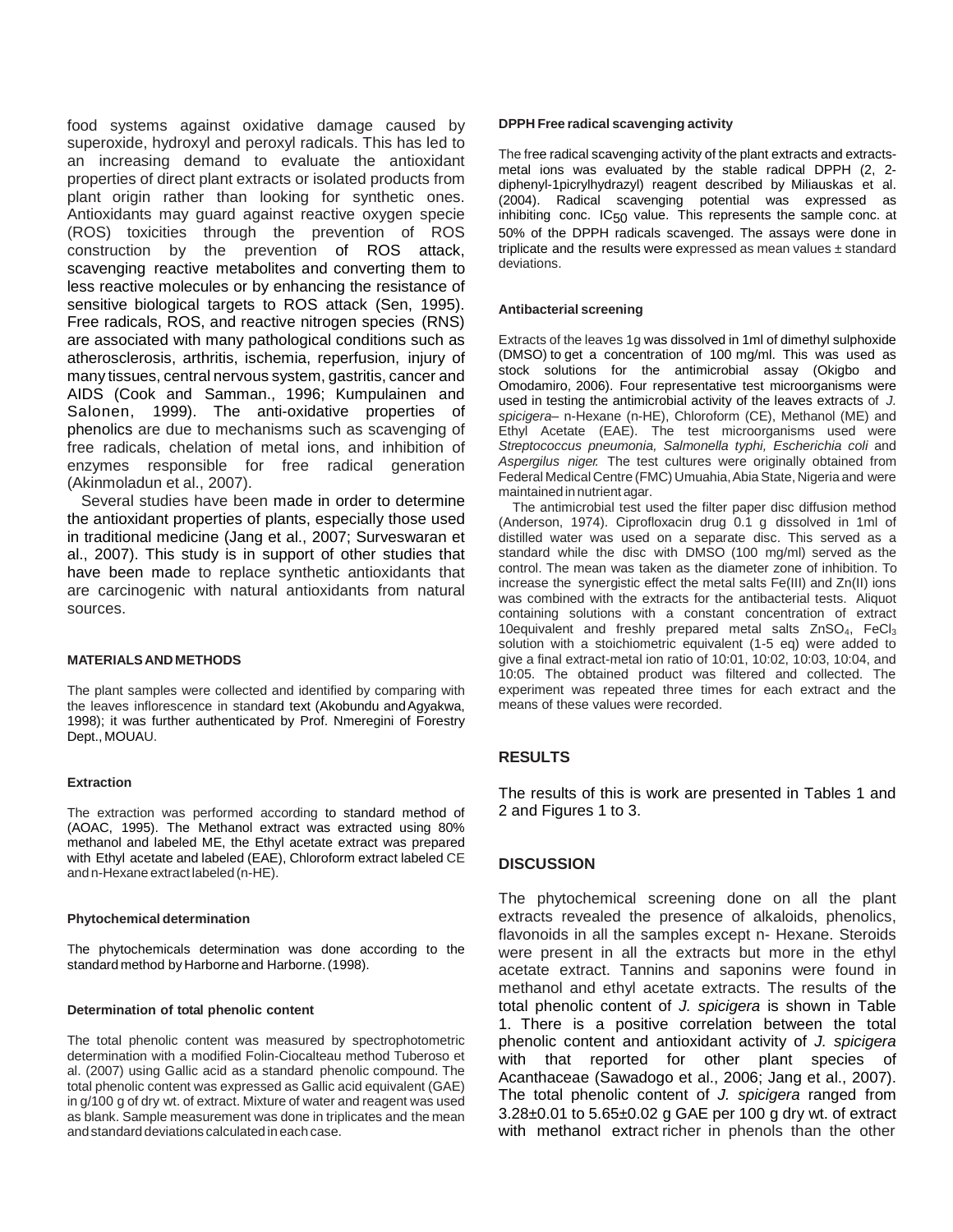food systems against oxidative damage caused by superoxide, hydroxyl and peroxyl radicals. This has led to an increasing demand to evaluate the antioxidant properties of direct plant extracts or isolated products from plant origin rather than looking for synthetic ones. Antioxidants may guard against reactive oxygen specie (ROS) toxicities through the prevention of ROS construction by the prevention of ROS attack, scavenging reactive metabolites and converting them to less reactive molecules or by enhancing the resistance of sensitive biological targets to ROS attack (Sen, 1995). Free radicals, ROS, and reactive nitrogen species (RNS) are associated with many pathological conditions such as atherosclerosis, arthritis, ischemia, reperfusion, injury of many tissues, central nervous system, gastritis, cancer and AIDS (Cook and Samman., 1996; Kumpulainen and Salonen, 1999). The anti-oxidative properties of phenolics are due to mechanisms such as scavenging of free radicals, chelation of metal ions, and inhibition of enzymes responsible for free radical generation (Akinmoladun et al., 2007).

Several studies have been made in order to determine the antioxidant properties of plants, especially those used in traditional medicine (Jang et al., 2007; Surveswaran et al., 2007). This study is in support of other studies that have been made to replace synthetic antioxidants that are carcinogenic with natural antioxidants from natural sources.

#### **MATERIALSAND METHODS**

The plant samples were collected and identified by comparing with the leaves inflorescence in standard text (Akobundu and Agyakwa, 1998); it was further authenticated by Prof. Nmeregini of Forestry Dept., MOUAU.

#### **Extraction**

The extraction was performed according to standard method of (AOAC, 1995). The Methanol extract was extracted using 80% methanol and labeled ME, the Ethyl acetate extract was prepared with Ethyl acetate and labeled (EAE), Chloroform extract labeled CE and n-Hexane extract labeled (n-HE).

#### **Phytochemical determination**

The phytochemicals determination was done according to the standard method by Harborne and Harborne.(1998).

#### **Determination of total phenolic content**

The total phenolic content was measured by spectrophotometric determination with a modified Folin-Ciocalteau method Tuberoso et al. (2007) using Gallic acid as a standard phenolic compound. The total phenolic content was expressed as Gallic acid equivalent (GAE) in g/100 g of dry wt. of extract. Mixture of water and reagent was used as blank. Sample measurement was done in triplicates and the mean andstandard deviations calculated ineach case.

#### **DPPH Free radical scavenging activity**

The free radical scavenging activity of the plant extracts and extractsmetal ions was evaluated by the stable radical DPPH (2, 2 diphenyl-1picrylhydrazyl) reagent described by Miliauskas et al. (2004). Radical scavenging potential was expressed as inhibiting conc.  $IC_{50}$  value. This represents the sample conc. at 50% of the DPPH radicals scavenged. The assays were done in triplicate and the results were expressed as mean values  $\pm$  standard deviations.

#### **Antibacterial screening**

Extracts of the leaves 1g was dissolved in 1ml of dimethyl sulphoxide (DMSO) to get a concentration of 100 mg/ml. This was used as stock solutions for the antimicrobial assay (Okigbo and Omodamiro, 2006). Four representative test microorganisms were used in testing the antimicrobial activity of the leaves extracts of *J. spicigera–* n-Hexane (n-HE), Chloroform (CE), Methanol (ME) and Ethyl Acetate (EAE). The test microorganisms used were *Streptococcus pneumonia, Salmonella typhi, Escherichia coli* and *Aspergilus niger.* The test cultures were originally obtained from Federal Medical Centre (FMC) Umuahia, Abia State, Nigeria and were maintained innutrient agar.

The antimicrobial test used the filter paper disc diffusion method (Anderson, 1974). Ciprofloxacin drug 0.1 g dissolved in 1ml of distilled water was used on a separate disc. This served as a standard while the disc with DMSO (100 mg/ml) served as the control. The mean was taken as the diameter zone of inhibition. To increase the synergistic effect the metal salts Fe(III) and Zn(II) ions was combined with the extracts for the antibacterial tests. Aliquot containing solutions with a constant concentration of extract 10equivalent and freshly prepared metal salts ZnSO4, FeCl<sup>3</sup> solution with a stoichiometric equivalent (1-5 eq) were added to give a final extract-metal ion ratio of 10:01, 10:02, 10:03, 10:04, and 10:05. The obtained product was filtered and collected. The experiment was repeated three times for each extract and the means of these values were recorded.

## **RESULTS**

The results of this is work are presented in Tables 1 and 2 and Figures 1 to 3.

## **DISCUSSION**

The phytochemical screening done on all the plant extracts revealed the presence of alkaloids, phenolics, flavonoids in all the samples except n- Hexane. Steroids were present in all the extracts but more in the ethyl acetate extract. Tannins and saponins were found in methanol and ethyl acetate extracts. The results of the total phenolic content of *J. spicigera* is shown in Table 1. There is a positive correlation between the total phenolic content and antioxidant activity of *J. spicigera* with that reported for other plant species of Acanthaceae (Sawadogo et al., 2006; Jang et al., 2007). The total phenolic content of *J. spicigera* ranged from 3.28±0.01 to 5.65±0.02 g GAE per 100 g dry wt. of extract with methanol extract richer in phenols than the other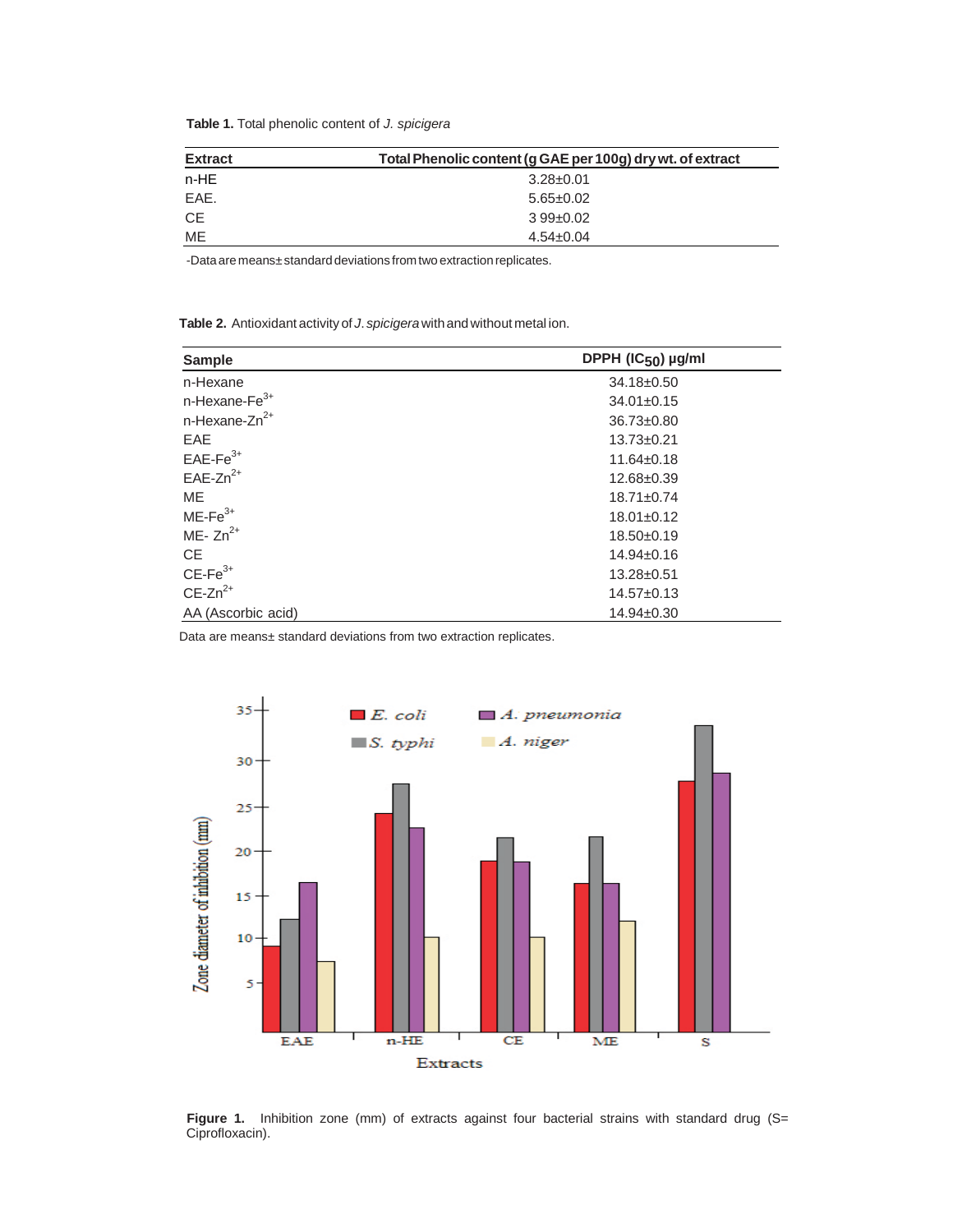**Table 1.** Total phenolic content of *J. spicigera*

| <b>Extract</b> | Total Phenolic content (g GAE per 100g) dry wt. of extract |  |
|----------------|------------------------------------------------------------|--|
| $n-HE$         | $3.28 \pm 0.01$                                            |  |
| EAE.           | $5.65 \pm 0.02$                                            |  |
| <b>CE</b>      | $3.99 \pm 0.02$                                            |  |
| ME             | $4.54 \pm 0.04$                                            |  |

-Data are means±standard deviations from two extraction replicates.

**Table 2.** Antioxidant activity of *J*. *spicigera*withandwithout metal ion.

| <b>Sample</b>                | DPPH (IC <sub>50</sub> ) µg/ml |
|------------------------------|--------------------------------|
| n-Hexane                     | 34.18±0.50                     |
| $n$ -Hexane-Fe $3+$          | $34.01 \pm 0.15$               |
| $n$ -Hexane-Zn <sup>2+</sup> | $36.73 \pm 0.80$               |
| <b>EAE</b>                   | $13.73 \pm 0.21$               |
| $EAE-Fe3+$                   | $11.64 \pm 0.18$               |
| $EAE-Zn^{2+}$                | 12.68±0.39                     |
| <b>ME</b>                    | $18.71 \pm 0.74$               |
| $ME-Fe3+$                    | $18.01 \pm 0.12$               |
| ME- $Zn^{2+}$                | $18.50 \pm 0.19$               |
| CE.                          | $14.94 \pm 0.16$               |
| $CE-Fe3+$                    | 13.28±0.51                     |
| $CE-Zn^{2+}$                 | $14.57 \pm 0.13$               |
| AA (Ascorbic acid)           | 14.94±0.30                     |

Data are means± standard deviations from two extraction replicates.



 **Figure 1.** Inhibition zone (mm) of extracts against four bacterial strains with standard drug (S= Ciprofloxacin).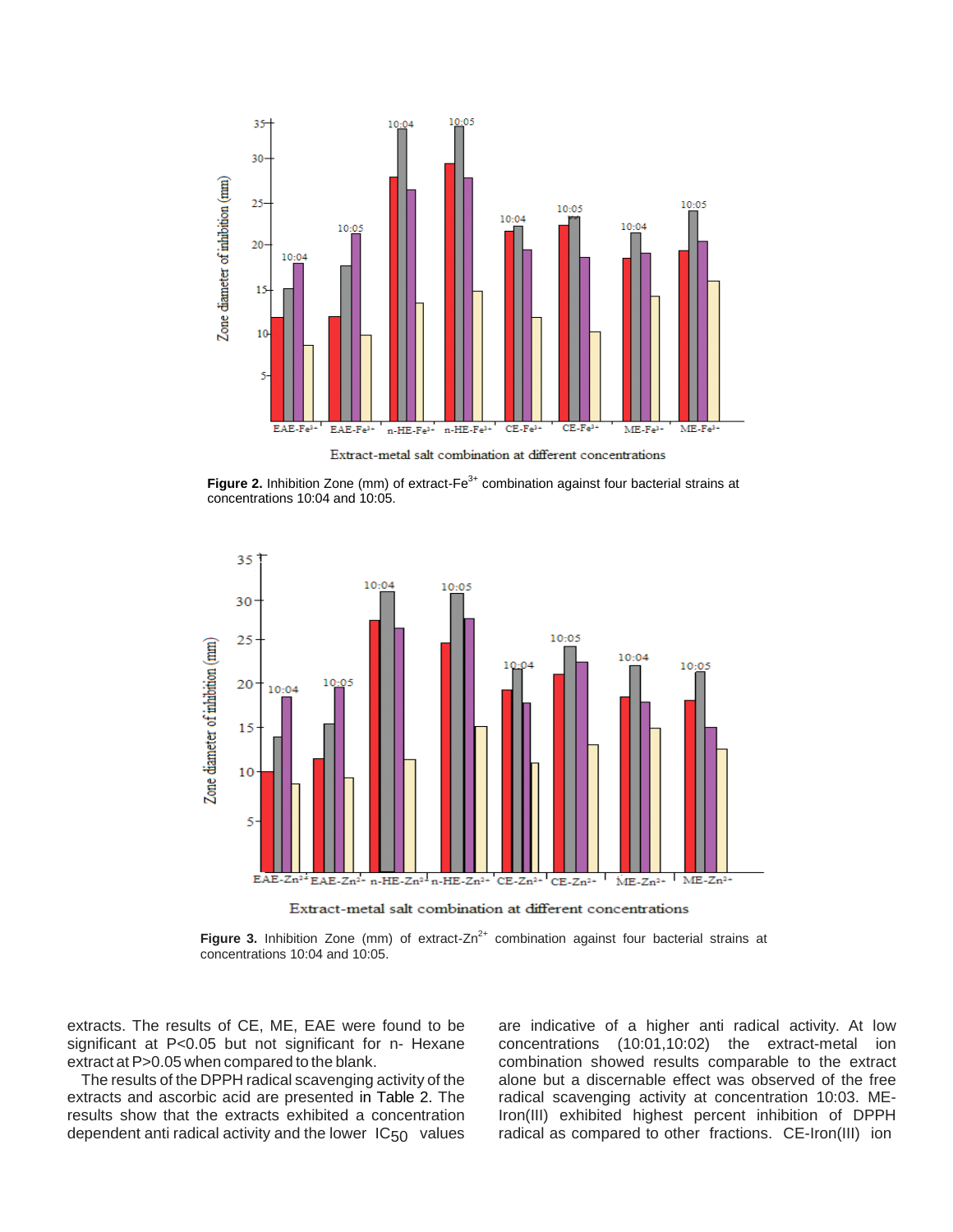

Extract-metal salt combination at different concentrations

Figure 2. Inhibition Zone (mm) of extract-Fe<sup>3+</sup> combination against four bacterial strains at concentrations 10:04 and 10:05.



Extract-metal salt combination at different concentrations

**Figure 3.** Inhibition Zone (mm) of extract-Zn<sup>2+</sup> combination against four bacterial strains at concentrations 10:04 and 10:05.

extracts. The results of CE, ME, EAE were found to be significant at P<0.05 but not significant for n- Hexane extract at P>0.05 when compared to the blank.

The results of the DPPH radical scavenging activity of the extracts and ascorbic acid are presented in Table 2. The results show that the extracts exhibited a concentration dependent anti radical activity and the lower IC50 values

are indicative of a higher anti radical activity. At low concentrations (10:01,10:02) the extract-metal ion combination showed results comparable to the extract alone but a discernable effect was observed of the free radical scavenging activity at concentration 10:03. ME-Iron(III) exhibited highest percent inhibition of DPPH radical as compared to other fractions. CE-Iron(III) ion